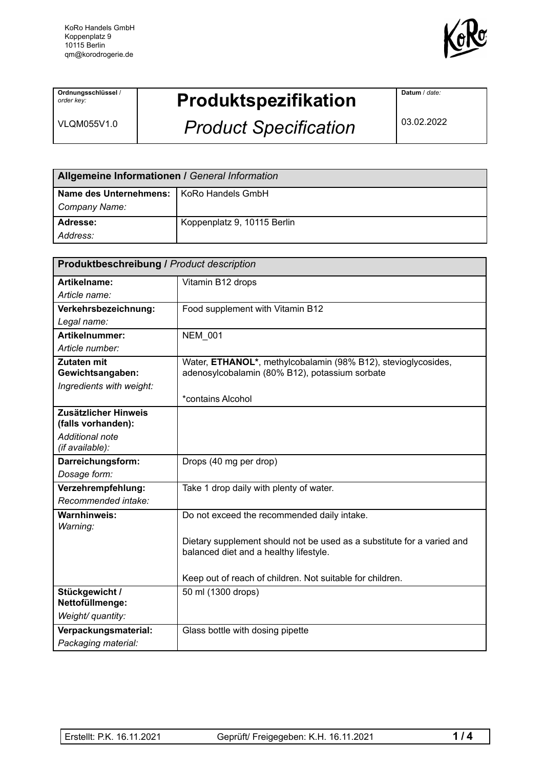

**Ordnungsschlüssel** / *order key:*

VLQM055V1.0

## **Produktspezifikation**

*Product Specification*

**Datum** / *date:*

03.02.2022

| Allgemeine Informationen / General Information |                             |  |
|------------------------------------------------|-----------------------------|--|
| Name des Unternehmens:   KoRo Handels GmbH     |                             |  |
| Company Name:                                  |                             |  |
| Adresse:                                       | Koppenplatz 9, 10115 Berlin |  |
| Address:                                       |                             |  |

| <b>Produktbeschreibung / Product description</b> |                                                                        |  |
|--------------------------------------------------|------------------------------------------------------------------------|--|
| Artikelname:                                     | Vitamin B12 drops                                                      |  |
| Article name:                                    |                                                                        |  |
| Verkehrsbezeichnung:                             | Food supplement with Vitamin B12                                       |  |
| Legal name:                                      |                                                                        |  |
| Artikelnummer:                                   | <b>NEM 001</b>                                                         |  |
| Article number:                                  |                                                                        |  |
| <b>Zutaten mit</b>                               | Water, ETHANOL*, methylcobalamin (98% B12), stevioglycosides,          |  |
| Gewichtsangaben:                                 | adenosylcobalamin (80% B12), potassium sorbate                         |  |
| Ingredients with weight:                         | *contains Alcohol                                                      |  |
| Zusätzlicher Hinweis                             |                                                                        |  |
| (falls vorhanden):                               |                                                                        |  |
| <b>Additional note</b>                           |                                                                        |  |
| (if available):                                  |                                                                        |  |
| Darreichungsform:                                | Drops (40 mg per drop)                                                 |  |
| Dosage form:                                     |                                                                        |  |
| Verzehrempfehlung:                               | Take 1 drop daily with plenty of water.                                |  |
| Recommended intake:                              |                                                                        |  |
| <b>Warnhinweis:</b>                              | Do not exceed the recommended daily intake.                            |  |
| Warning:                                         |                                                                        |  |
|                                                  | Dietary supplement should not be used as a substitute for a varied and |  |
|                                                  | balanced diet and a healthy lifestyle.                                 |  |
|                                                  | Keep out of reach of children. Not suitable for children.              |  |
| Stückgewicht /                                   | 50 ml (1300 drops)                                                     |  |
| Nettofüllmenge:                                  |                                                                        |  |
| Weight/ quantity:                                |                                                                        |  |
| Verpackungsmaterial:                             | Glass bottle with dosing pipette                                       |  |
| Packaging material:                              |                                                                        |  |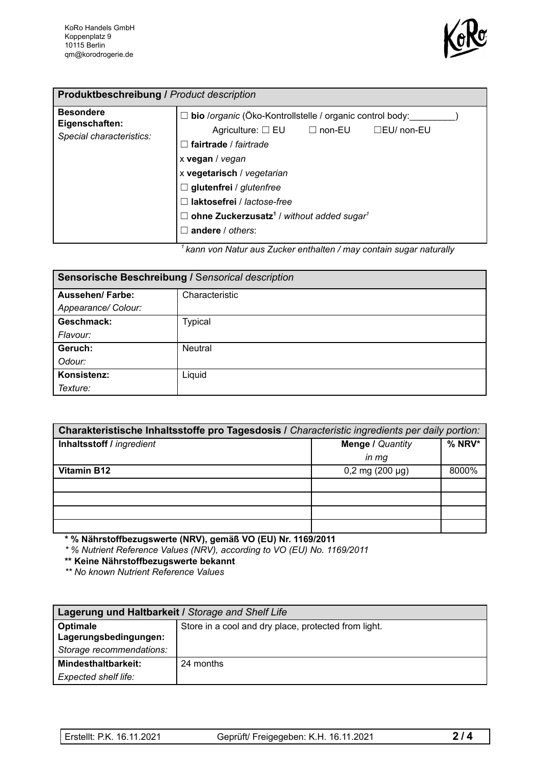

| <b>Produktbeschreibung / Product description</b>               |                                                                                                                                                                                                                                                                                                                                                      |
|----------------------------------------------------------------|------------------------------------------------------------------------------------------------------------------------------------------------------------------------------------------------------------------------------------------------------------------------------------------------------------------------------------------------------|
| <b>Besondere</b><br>Eigenschaften:<br>Special characteristics: | bio /organic (Öko-Kontrollstelle / organic control body:<br>Agriculture: □ EU □ non-EU □ EU/ non-EU<br>$\Box$ fairtrade / fairtrade<br>x vegan / vegan<br>x vegetarisch / vegetarian<br>$\Box$ glutenfrei / glutenfree<br>laktosefrei / lactose-free<br>$\Box$ ohne Zuckerzusatz <sup>1</sup> / without added sugar <sup>1</sup><br>andere / others: |

*<sup>1</sup> kann von Natur aus Zucker enthalten / may contain sugar naturally*

| Sensorische Beschreibung / Sensorical description |                |  |
|---------------------------------------------------|----------------|--|
| <b>Aussehen/Farbe:</b>                            | Characteristic |  |
| Appearance/ Colour:                               |                |  |
| Geschmack:                                        | <b>Typical</b> |  |
| Flavour:                                          |                |  |
| Geruch:                                           | <b>Neutral</b> |  |
| Odour:                                            |                |  |
| Konsistenz:                                       | Liquid         |  |
| Texture:                                          |                |  |

| Charakteristische Inhaltsstoffe pro Tagesdosis / Characteristic ingredients per daily portion: |                         |        |  |
|------------------------------------------------------------------------------------------------|-------------------------|--------|--|
| Inhaltsstoff / ingredient                                                                      | <b>Menge / Quantity</b> | % NRV* |  |
|                                                                                                | $in$ $mg$               |        |  |
| <b>Vitamin B12</b>                                                                             | $0,2$ mg (200 µg)       | 8000%  |  |
|                                                                                                |                         |        |  |
|                                                                                                |                         |        |  |
|                                                                                                |                         |        |  |
|                                                                                                |                         |        |  |

**\* % Nährstoffbezugswerte (NRV), gemäß VO (EU) Nr. 1169/2011**

*\* % Nutrient Reference Values (NRV), according to VO (EU) No. 1169/2011*

**\*\* Keine Nährstoffbezugswerte bekannt**

*\*\* No known Nutrient Reference Values*

| Lagerung und Haltbarkeit / Storage and Shelf Life |                                                      |  |
|---------------------------------------------------|------------------------------------------------------|--|
| Optimale                                          | Store in a cool and dry place, protected from light. |  |
| Lagerungsbedingungen:                             |                                                      |  |
| Storage recommendations:                          |                                                      |  |
| Mindesthaltbarkeit:                               | 24 months                                            |  |
| Expected shelf life:                              |                                                      |  |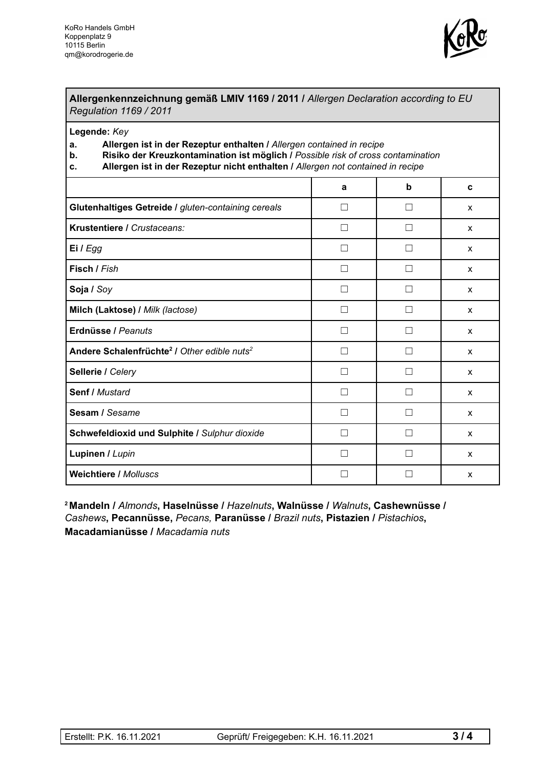

## **Allergenkennzeichnung gemäß LMIV 1169 / 2011 /** *Allergen Declaration according to EU Regulation 1169 / 2011*

**Legende:** *Key*

- **a. Allergen ist in der Rezeptur enthalten /** *Allergen contained in recipe*
- **b. Risiko der Kreuzkontamination ist möglich /** *Possible risk of cross contamination*
- **c. Allergen ist in der Rezeptur nicht enthalten /** *Allergen not contained in recipe*

|                                                                     | a            | $\mathbf b$   | C            |
|---------------------------------------------------------------------|--------------|---------------|--------------|
| Glutenhaltiges Getreide / gluten-containing cereals                 | П            |               | X            |
| Krustentiere / Crustaceans:                                         | П            | $\mathcal{L}$ | X            |
| Ei / Egg                                                            | $\Box$       |               | X            |
| Fisch / Fish                                                        | $\Box$       | - 1           | X            |
| Soja / Soy                                                          | □            |               | X            |
| Milch (Laktose) / Milk (lactose)                                    | П            | П             | X            |
| Erdnüsse / Peanuts                                                  | $\mathsf{L}$ |               | X            |
| Andere Schalenfrüchte <sup>2</sup> / Other edible nuts <sup>2</sup> | $\Box$       |               | X            |
| Sellerie / Celery                                                   | П            | $\mathcal{L}$ | X            |
| <b>Senf / Mustard</b>                                               | $\Box$       |               | X            |
| Sesam / Sesame                                                      | П            |               | X            |
| Schwefeldioxid und Sulphite / Sulphur dioxide                       | П            |               | $\mathsf{x}$ |
| Lupinen / Lupin                                                     |              |               | X            |
| <b>Weichtiere / Molluscs</b>                                        |              |               | X            |

**<sup>2</sup> Mandeln /** *Almonds***, Haselnüsse /** *Hazelnuts***, Walnüsse /** *Walnuts***, Cashewnüsse /** *Cashews***, Pecannüsse,** *Pecans,* **Paranüsse /** *Brazil nuts***, Pistazien /** *Pistachios***, Macadamianüsse /** *Macadamia nuts*